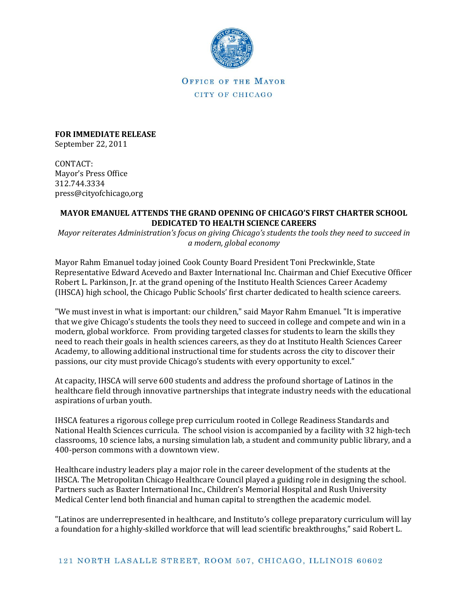

OFFICE OF THE MAYOR CITY OF CHICAGO

**FOR IMMEDIATE RELEASE** September 22, 2011

CONTACT: Mayor's Press Office 312.744.3334 press@cityofchicago,org

## **MAYOR EMANUEL ATTENDS THE GRAND OPENING OF CHICAGO'S FIRST CHARTER SCHOOL DEDICATED TO HEALTH SCIENCE CAREERS**

*Mayor reiterates Administration's focus on giving Chicago's students the tools they need to succeed in a modern, global economy*

Mayor Rahm Emanuel today joined Cook County Board President Toni Preckwinkle, State Representative Edward Acevedo and Baxter International Inc. Chairman and Chief Executive Officer Robert L. Parkinson, Jr. at the grand opening of the Instituto Health Sciences Career Academy (IHSCA) high school, the Chicago Public Schools' first charter dedicated to health science careers.

"We must invest in what is important: our children," said Mayor Rahm Emanuel. "It is imperative that we give Chicago's students the tools they need to succeed in college and compete and win in a modern, global workforce. From providing targeted classes for students to learn the skills they need to reach their goals in health sciences careers, as they do at Instituto Health Sciences Career Academy, to allowing additional instructional time for students across the city to discover their passions, our city must provide Chicago's students with every opportunity to excel."

At capacity, IHSCA will serve 600 students and address the profound shortage of Latinos in the healthcare field through innovative partnerships that integrate industry needs with the educational aspirations of urban youth.

IHSCA features a rigorous college prep curriculum rooted in College Readiness Standards and National Health Sciences curricula. The school vision is accompanied by a facility with 32 high-tech classrooms, 10 science labs, a nursing simulation lab, a student and community public library, and a 400-person commons with a downtown view.

Healthcare industry leaders play a major role in the career development of the students at the IHSCA. The Metropolitan Chicago Healthcare Council played a guiding role in designing the school. Partners such as Baxter International Inc., Children's Memorial Hospital and Rush University Medical Center lend both financial and human capital to strengthen the academic model.

"Latinos are underrepresented in healthcare, and Instituto's college preparatory curriculum will lay a foundation for a highly-skilled workforce that will lead scientific breakthroughs," said Robert L.